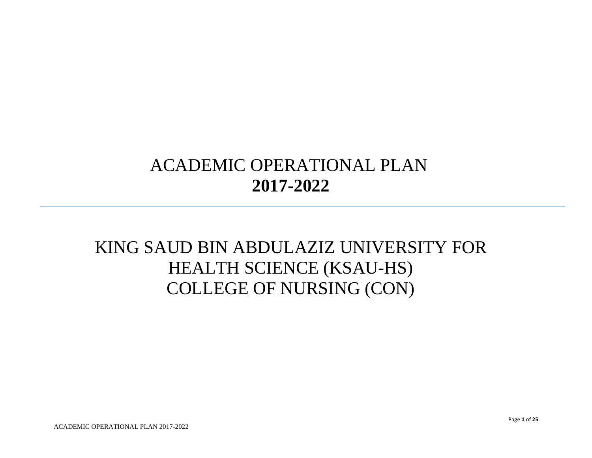## ACADEMIC OPERATIONAL PLAN **2017-2022**

## KING SAUD BIN ABDULAZIZ UNIVERSITY FOR HEALTH SCIENCE (KSAU-HS) COLLEGE OF NURSING (CON)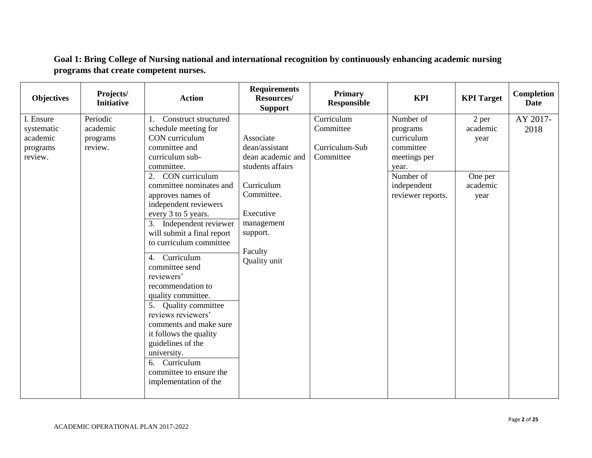| <b>Objectives</b>                                          | Projects/<br><b>Initiative</b>              | <b>Action</b>                                                                                                                                                                                                                                                                                                                                                                                                                                                                                                                                                                                                                                   | <b>Requirements</b><br>Resources/<br><b>Support</b>                                                                                                                | <b>Primary</b><br><b>Responsible</b>                   | <b>KPI</b>                                                                                                                 | <b>KPI</b> Target                                        | Completion<br><b>Date</b> |
|------------------------------------------------------------|---------------------------------------------|-------------------------------------------------------------------------------------------------------------------------------------------------------------------------------------------------------------------------------------------------------------------------------------------------------------------------------------------------------------------------------------------------------------------------------------------------------------------------------------------------------------------------------------------------------------------------------------------------------------------------------------------------|--------------------------------------------------------------------------------------------------------------------------------------------------------------------|--------------------------------------------------------|----------------------------------------------------------------------------------------------------------------------------|----------------------------------------------------------|---------------------------|
| I. Ensure<br>systematic<br>academic<br>programs<br>review. | Periodic<br>academic<br>programs<br>review. | Construct structured<br>1.<br>schedule meeting for<br>CON curriculum<br>committee and<br>curriculum sub-<br>committee.<br>CON curriculum<br>2.<br>committee nominates and<br>approves names of<br>independent reviewers<br>every 3 to 5 years.<br>3. Independent reviewer<br>will submit a final report<br>to curriculum committee<br>Curriculum<br>4.<br>committee send<br>reviewers'<br>recommendation to<br>quality committee.<br>5. Quality committee<br>reviews reviewers'<br>comments and make sure<br>it follows the quality<br>guidelines of the<br>university.<br>Curriculum<br>6.<br>committee to ensure the<br>implementation of the | Associate<br>dean/assistant<br>dean academic and<br>students affairs<br>Curriculum<br>Committee.<br>Executive<br>management<br>support.<br>Faculty<br>Quality unit | Curriculum<br>Committee<br>Curriculum-Sub<br>Committee | Number of<br>programs<br>curriculum<br>committee<br>meetings per<br>year.<br>Number of<br>independent<br>reviewer reports. | 2 per<br>academic<br>year<br>One per<br>academic<br>year | AY 2017-<br>2018          |
|                                                            |                                             |                                                                                                                                                                                                                                                                                                                                                                                                                                                                                                                                                                                                                                                 |                                                                                                                                                                    |                                                        |                                                                                                                            |                                                          |                           |

**Goal 1: Bring College of Nursing national and international recognition by continuously enhancing academic nursing programs that create competent nurses.**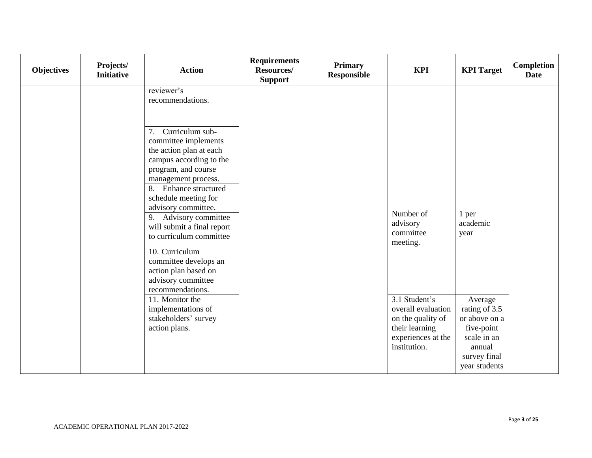| <b>Objectives</b> | Projects/<br><b>Initiative</b> | <b>Action</b>                                                                                                                                                                                                                                                                                                                                                                                                                                                                                                            | <b>Requirements</b><br>Resources/<br><b>Support</b> | <b>Primary</b><br><b>Responsible</b> | <b>KPI</b>                                                                                                                                                         | <b>KPI</b> Target                                                                                                                              | <b>Completion</b><br><b>Date</b> |
|-------------------|--------------------------------|--------------------------------------------------------------------------------------------------------------------------------------------------------------------------------------------------------------------------------------------------------------------------------------------------------------------------------------------------------------------------------------------------------------------------------------------------------------------------------------------------------------------------|-----------------------------------------------------|--------------------------------------|--------------------------------------------------------------------------------------------------------------------------------------------------------------------|------------------------------------------------------------------------------------------------------------------------------------------------|----------------------------------|
|                   |                                | reviewer's<br>recommendations.                                                                                                                                                                                                                                                                                                                                                                                                                                                                                           |                                                     |                                      |                                                                                                                                                                    |                                                                                                                                                |                                  |
|                   |                                | Curriculum sub-<br>7.<br>committee implements<br>the action plan at each<br>campus according to the<br>program, and course<br>management process.<br>8. Enhance structured<br>schedule meeting for<br>advisory committee.<br>9. Advisory committee<br>will submit a final report<br>to curriculum committee<br>$\overline{10}$ . Curriculum<br>committee develops an<br>action plan based on<br>advisory committee<br>recommendations.<br>11. Monitor the<br>implementations of<br>stakeholders' survey<br>action plans. |                                                     |                                      | Number of<br>advisory<br>committee<br>meeting.<br>3.1 Student's<br>overall evaluation<br>on the quality of<br>their learning<br>experiences at the<br>institution. | 1 per<br>academic<br>year<br>Average<br>rating of 3.5<br>or above on a<br>five-point<br>scale in an<br>annual<br>survey final<br>year students |                                  |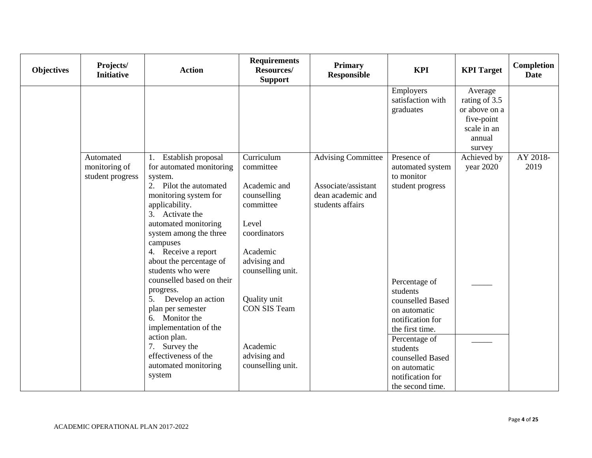| <b>Objectives</b> | Projects/<br><b>Initiative</b>                 | <b>Action</b>                                                                                                                                                                                                                                                                                                                                                                                                                                                                                                      | <b>Requirements</b><br><b>Resources/</b><br><b>Support</b>                                                                                                                                                                            | <b>Primary</b><br><b>Responsible</b>                                                      | <b>KPI</b>                                                                                                                                                                                                                                 | <b>KPI</b> Target                                                                          | Completion<br><b>Date</b> |
|-------------------|------------------------------------------------|--------------------------------------------------------------------------------------------------------------------------------------------------------------------------------------------------------------------------------------------------------------------------------------------------------------------------------------------------------------------------------------------------------------------------------------------------------------------------------------------------------------------|---------------------------------------------------------------------------------------------------------------------------------------------------------------------------------------------------------------------------------------|-------------------------------------------------------------------------------------------|--------------------------------------------------------------------------------------------------------------------------------------------------------------------------------------------------------------------------------------------|--------------------------------------------------------------------------------------------|---------------------------|
|                   |                                                |                                                                                                                                                                                                                                                                                                                                                                                                                                                                                                                    |                                                                                                                                                                                                                                       |                                                                                           | Employers<br>satisfaction with<br>graduates                                                                                                                                                                                                | Average<br>rating of 3.5<br>or above on a<br>five-point<br>scale in an<br>annual<br>survey |                           |
|                   | Automated<br>monitoring of<br>student progress | Establish proposal<br>1.<br>for automated monitoring<br>system.<br>2. Pilot the automated<br>monitoring system for<br>applicability.<br>3. Activate the<br>automated monitoring<br>system among the three<br>campuses<br>4. Receive a report<br>about the percentage of<br>students who were<br>counselled based on their<br>progress.<br>Develop an action<br>5.<br>plan per semester<br>6. Monitor the<br>implementation of the<br>action plan.<br>7. Survey the<br>effectiveness of the<br>automated monitoring | Curriculum<br>committee<br>Academic and<br>counselling<br>committee<br>Level<br>coordinators<br>Academic<br>advising and<br>counselling unit.<br>Quality unit<br><b>CON SIS Team</b><br>Academic<br>advising and<br>counselling unit. | <b>Advising Committee</b><br>Associate/assistant<br>dean academic and<br>students affairs | Presence of<br>automated system<br>to monitor<br>student progress<br>Percentage of<br>students<br>counselled Based<br>on automatic<br>notification for<br>the first time.<br>Percentage of<br>students<br>counselled Based<br>on automatic | Achieved by<br>year 2020                                                                   | AY 2018-<br>2019          |
|                   |                                                | system                                                                                                                                                                                                                                                                                                                                                                                                                                                                                                             |                                                                                                                                                                                                                                       |                                                                                           | notification for<br>the second time.                                                                                                                                                                                                       |                                                                                            |                           |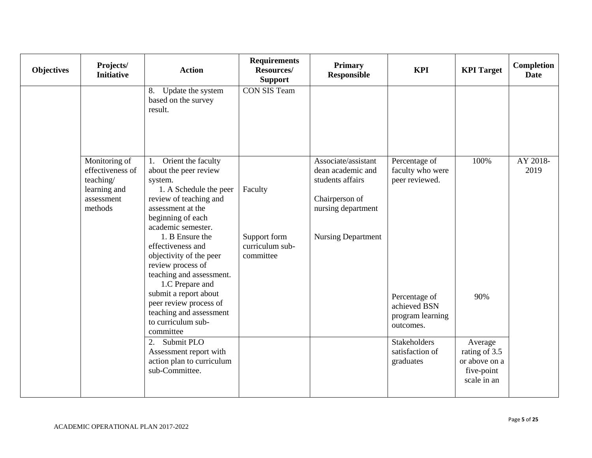| <b>Objectives</b> | Projects/<br><b>Initiative</b>                                                          | <b>Action</b>                                                                                                                                                                                                                                                                                                                                                                                                                                                                                                                         | <b>Requirements</b><br>Resources/<br><b>Support</b>     | <b>Primary</b><br><b>Responsible</b>                                                                                              | <b>KPI</b>                                                                                                                                                            | <b>KPI</b> Target                                                                     | Completion<br><b>Date</b> |
|-------------------|-----------------------------------------------------------------------------------------|---------------------------------------------------------------------------------------------------------------------------------------------------------------------------------------------------------------------------------------------------------------------------------------------------------------------------------------------------------------------------------------------------------------------------------------------------------------------------------------------------------------------------------------|---------------------------------------------------------|-----------------------------------------------------------------------------------------------------------------------------------|-----------------------------------------------------------------------------------------------------------------------------------------------------------------------|---------------------------------------------------------------------------------------|---------------------------|
|                   |                                                                                         | Update the system<br>8.<br>based on the survey<br>result.                                                                                                                                                                                                                                                                                                                                                                                                                                                                             | <b>CON SIS Team</b>                                     |                                                                                                                                   |                                                                                                                                                                       |                                                                                       |                           |
|                   | Monitoring of<br>effectiveness of<br>teaching/<br>learning and<br>assessment<br>methods | Orient the faculty<br>1.<br>about the peer review<br>system.<br>1. A Schedule the peer<br>review of teaching and<br>assessment at the<br>beginning of each<br>academic semester.<br>1. B Ensure the<br>effectiveness and<br>objectivity of the peer<br>review process of<br>teaching and assessment.<br>1.C Prepare and<br>submit a report about<br>peer review process of<br>teaching and assessment<br>to curriculum sub-<br>committee<br>Submit PLO<br>2.<br>Assessment report with<br>action plan to curriculum<br>sub-Committee. | Faculty<br>Support form<br>curriculum sub-<br>committee | Associate/assistant<br>dean academic and<br>students affairs<br>Chairperson of<br>nursing department<br><b>Nursing Department</b> | Percentage of<br>faculty who were<br>peer reviewed.<br>Percentage of<br>achieved BSN<br>program learning<br>outcomes.<br>Stakeholders<br>satisfaction of<br>graduates | 100%<br>90%<br>Average<br>rating of 3.5<br>or above on a<br>five-point<br>scale in an | AY 2018-<br>2019          |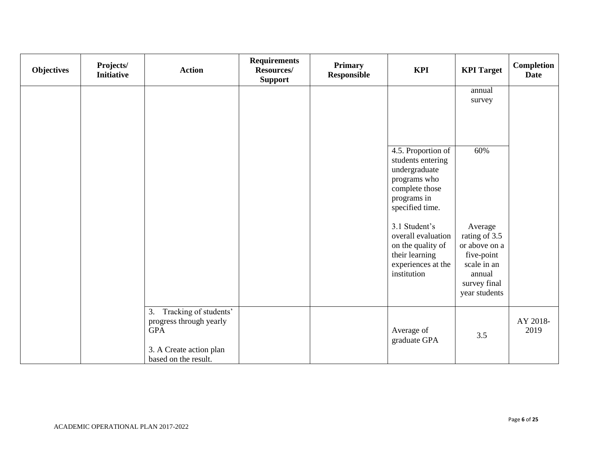| Objectives | Projects/<br><b>Initiative</b> | <b>Action</b>                                                                                                          | <b>Requirements</b><br>Resources/<br><b>Support</b> | <b>Primary</b><br>Responsible | <b>KPI</b>                                                                                                                   | <b>KPI</b> Target                                                                                                 | Completion<br><b>Date</b> |
|------------|--------------------------------|------------------------------------------------------------------------------------------------------------------------|-----------------------------------------------------|-------------------------------|------------------------------------------------------------------------------------------------------------------------------|-------------------------------------------------------------------------------------------------------------------|---------------------------|
|            |                                |                                                                                                                        |                                                     |                               |                                                                                                                              | annual<br>survey                                                                                                  |                           |
|            |                                |                                                                                                                        |                                                     |                               |                                                                                                                              |                                                                                                                   |                           |
|            |                                |                                                                                                                        |                                                     |                               | 4.5. Proportion of<br>students entering<br>undergraduate<br>programs who<br>complete those<br>programs in<br>specified time. | 60%                                                                                                               |                           |
|            |                                |                                                                                                                        |                                                     |                               | 3.1 Student's<br>overall evaluation<br>on the quality of<br>their learning<br>experiences at the<br>institution              | Average<br>rating of 3.5<br>or above on a<br>five-point<br>scale in an<br>annual<br>survey final<br>year students |                           |
|            |                                | Tracking of students'<br>3.<br>progress through yearly<br>$\rm GPA$<br>3. A Create action plan<br>based on the result. |                                                     |                               | Average of<br>graduate GPA                                                                                                   | 3.5                                                                                                               | AY 2018-<br>2019          |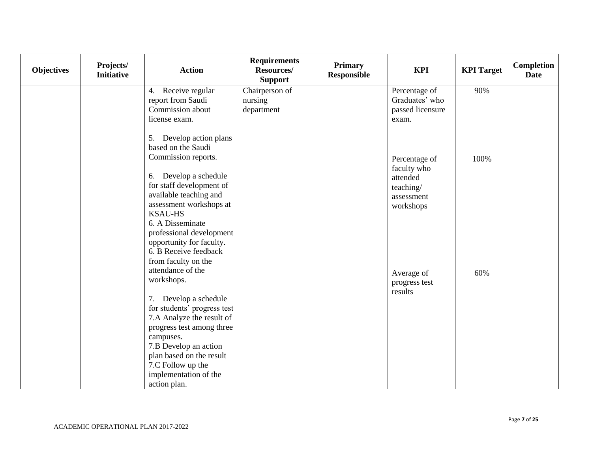| Objectives | Projects/<br><b>Initiative</b> | <b>Action</b>                                                                                                                                                                                                                                                                                         | <b>Requirements</b><br><b>Resources/</b><br><b>Support</b> | Primary<br><b>Responsible</b> | <b>KPI</b>                                                                       | <b>KPI</b> Target | Completion<br><b>Date</b> |
|------------|--------------------------------|-------------------------------------------------------------------------------------------------------------------------------------------------------------------------------------------------------------------------------------------------------------------------------------------------------|------------------------------------------------------------|-------------------------------|----------------------------------------------------------------------------------|-------------------|---------------------------|
|            |                                | Receive regular<br>4.                                                                                                                                                                                                                                                                                 | Chairperson of                                             |                               | Percentage of                                                                    | 90%               |                           |
|            |                                | report from Saudi                                                                                                                                                                                                                                                                                     | nursing                                                    |                               | Graduates' who                                                                   |                   |                           |
|            |                                | Commission about                                                                                                                                                                                                                                                                                      | department                                                 |                               | passed licensure                                                                 |                   |                           |
|            |                                | license exam.                                                                                                                                                                                                                                                                                         |                                                            |                               | exam.                                                                            |                   |                           |
|            |                                | 5. Develop action plans<br>based on the Saudi<br>Commission reports.<br>6. Develop a schedule<br>for staff development of<br>available teaching and<br>assessment workshops at<br><b>KSAU-HS</b><br>6. A Disseminate<br>professional development<br>opportunity for faculty.<br>6. B Receive feedback |                                                            |                               | Percentage of<br>faculty who<br>attended<br>teaching/<br>assessment<br>workshops | 100%              |                           |
|            |                                | from faculty on the                                                                                                                                                                                                                                                                                   |                                                            |                               |                                                                                  |                   |                           |
|            |                                | attendance of the<br>workshops.                                                                                                                                                                                                                                                                       |                                                            |                               | Average of                                                                       | 60%               |                           |
|            |                                |                                                                                                                                                                                                                                                                                                       |                                                            |                               | progress test                                                                    |                   |                           |
|            |                                | 7. Develop a schedule                                                                                                                                                                                                                                                                                 |                                                            |                               | results                                                                          |                   |                           |
|            |                                | for students' progress test                                                                                                                                                                                                                                                                           |                                                            |                               |                                                                                  |                   |                           |
|            |                                | 7.A Analyze the result of                                                                                                                                                                                                                                                                             |                                                            |                               |                                                                                  |                   |                           |
|            |                                | progress test among three                                                                                                                                                                                                                                                                             |                                                            |                               |                                                                                  |                   |                           |
|            |                                | campuses.                                                                                                                                                                                                                                                                                             |                                                            |                               |                                                                                  |                   |                           |
|            |                                | 7.B Develop an action                                                                                                                                                                                                                                                                                 |                                                            |                               |                                                                                  |                   |                           |
|            |                                | plan based on the result                                                                                                                                                                                                                                                                              |                                                            |                               |                                                                                  |                   |                           |
|            |                                | 7.C Follow up the                                                                                                                                                                                                                                                                                     |                                                            |                               |                                                                                  |                   |                           |
|            |                                | implementation of the                                                                                                                                                                                                                                                                                 |                                                            |                               |                                                                                  |                   |                           |
|            |                                | action plan.                                                                                                                                                                                                                                                                                          |                                                            |                               |                                                                                  |                   |                           |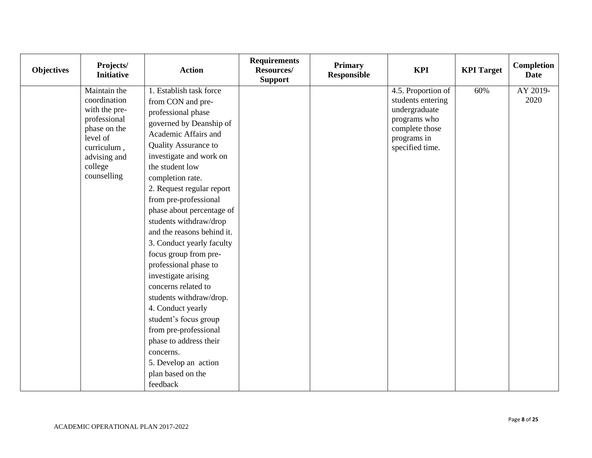| <b>Objectives</b> | Projects/<br><b>Initiative</b>                                                                                                                     | <b>Action</b>                                                                                                                                                                                                                                                                                                                                                                                                                                                                                                                                                                                                                                                                             | <b>Requirements</b><br><b>Resources/</b><br><b>Support</b> | <b>Primary</b><br><b>Responsible</b> | <b>KPI</b>                                                                                                                   | <b>KPI Target</b> | Completion<br><b>Date</b> |
|-------------------|----------------------------------------------------------------------------------------------------------------------------------------------------|-------------------------------------------------------------------------------------------------------------------------------------------------------------------------------------------------------------------------------------------------------------------------------------------------------------------------------------------------------------------------------------------------------------------------------------------------------------------------------------------------------------------------------------------------------------------------------------------------------------------------------------------------------------------------------------------|------------------------------------------------------------|--------------------------------------|------------------------------------------------------------------------------------------------------------------------------|-------------------|---------------------------|
|                   | Maintain the<br>coordination<br>with the pre-<br>professional<br>phase on the<br>level of<br>curriculum,<br>advising and<br>college<br>counselling | 1. Establish task force<br>from CON and pre-<br>professional phase<br>governed by Deanship of<br>Academic Affairs and<br>Quality Assurance to<br>investigate and work on<br>the student low<br>completion rate.<br>2. Request regular report<br>from pre-professional<br>phase about percentage of<br>students withdraw/drop<br>and the reasons behind it.<br>3. Conduct yearly faculty<br>focus group from pre-<br>professional phase to<br>investigate arising<br>concerns related to<br>students withdraw/drop.<br>4. Conduct yearly<br>student's focus group<br>from pre-professional<br>phase to address their<br>concerns.<br>5. Develop an action<br>plan based on the<br>feedback |                                                            |                                      | 4.5. Proportion of<br>students entering<br>undergraduate<br>programs who<br>complete those<br>programs in<br>specified time. | 60%               | AY 2019-<br>2020          |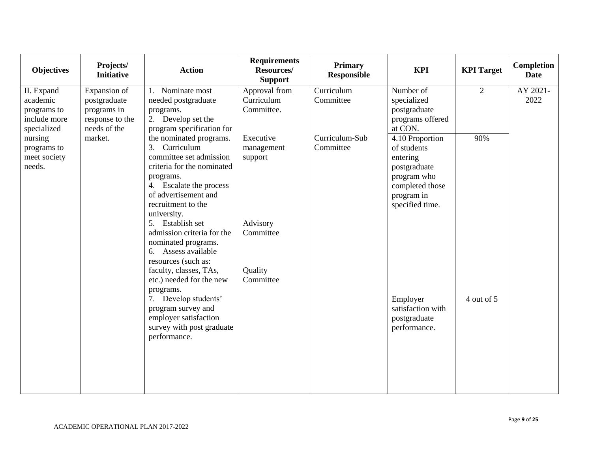| <b>Objectives</b>                                                    | Projects/<br><b>Initiative</b>                                                 | <b>Action</b>                                                                                                                                                                                                                                                                                                                                                                                    | <b>Requirements</b><br><b>Resources/</b><br><b>Support</b>                          | Primary<br><b>Responsible</b> | <b>KPI</b>                                                                                                                    | <b>KPI Target</b> | Completion<br><b>Date</b> |
|----------------------------------------------------------------------|--------------------------------------------------------------------------------|--------------------------------------------------------------------------------------------------------------------------------------------------------------------------------------------------------------------------------------------------------------------------------------------------------------------------------------------------------------------------------------------------|-------------------------------------------------------------------------------------|-------------------------------|-------------------------------------------------------------------------------------------------------------------------------|-------------------|---------------------------|
| II. Expand<br>academic<br>programs to<br>include more<br>specialized | Expansion of<br>postgraduate<br>programs in<br>response to the<br>needs of the | 1. Nominate most<br>needed postgraduate<br>programs.<br>2. Develop set the<br>program specification for                                                                                                                                                                                                                                                                                          | Approval from<br>Curriculum<br>Committee.                                           | Curriculum<br>Committee       | Number of<br>specialized<br>postgraduate<br>programs offered<br>at CON.                                                       | $\overline{2}$    | AY 2021-<br>2022          |
| nursing<br>programs to<br>meet society<br>needs.                     | market.                                                                        | the nominated programs.<br>3. Curriculum<br>committee set admission<br>criteria for the nominated<br>programs.<br>4. Escalate the process<br>of advertisement and<br>recruitment to the<br>university.<br>5. Establish set<br>admission criteria for the<br>nominated programs.<br>6. Assess available<br>resources (such as:<br>faculty, classes, TAs,<br>etc.) needed for the new<br>programs. | Executive<br>management<br>support<br>Advisory<br>Committee<br>Quality<br>Committee | Curriculum-Sub<br>Committee   | 4.10 Proportion<br>of students<br>entering<br>postgraduate<br>program who<br>completed those<br>program in<br>specified time. | 90%               |                           |
|                                                                      |                                                                                | 7. Develop students'<br>program survey and<br>employer satisfaction<br>survey with post graduate<br>performance.                                                                                                                                                                                                                                                                                 |                                                                                     |                               | Employer<br>satisfaction with<br>postgraduate<br>performance.                                                                 | 4 out of 5        |                           |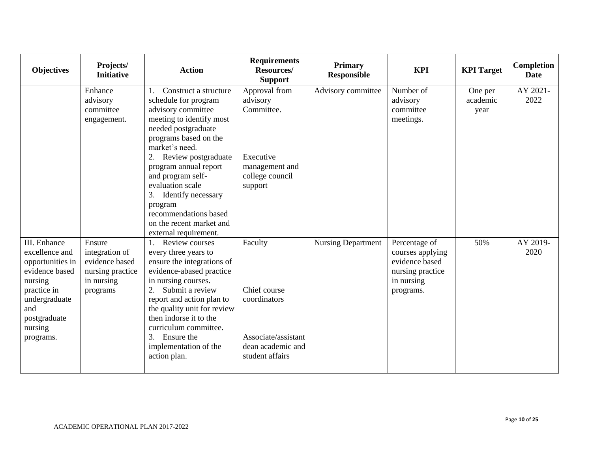| <b>Objectives</b>                                                                                                                                              | Projects/<br><b>Initiative</b>                                                           | <b>Action</b>                                                                                                                                                                                                                                                                                                                                          | <b>Requirements</b><br>Resources/<br><b>Support</b>                                                    | <b>Primary</b><br><b>Responsible</b> | <b>KPI</b>                                                                                         | <b>KPI</b> Target           | Completion<br><b>Date</b> |
|----------------------------------------------------------------------------------------------------------------------------------------------------------------|------------------------------------------------------------------------------------------|--------------------------------------------------------------------------------------------------------------------------------------------------------------------------------------------------------------------------------------------------------------------------------------------------------------------------------------------------------|--------------------------------------------------------------------------------------------------------|--------------------------------------|----------------------------------------------------------------------------------------------------|-----------------------------|---------------------------|
|                                                                                                                                                                | Enhance<br>advisory<br>committee<br>engagement.                                          | Construct a structure<br>schedule for program<br>advisory committee<br>meeting to identify most<br>needed postgraduate<br>programs based on the<br>market's need.<br>2. Review postgraduate<br>program annual report<br>and program self-<br>evaluation scale<br>3. Identify necessary<br>program<br>recommendations based<br>on the recent market and | Approval from<br>advisory<br>Committee.<br>Executive<br>management and<br>college council<br>support   | Advisory committee                   | Number of<br>advisory<br>committee<br>meetings.                                                    | One per<br>academic<br>year | AY 2021-<br>2022          |
| III. Enhance<br>excellence and<br>opportunities in<br>evidence based<br>nursing<br>practice in<br>undergraduate<br>and<br>postgraduate<br>nursing<br>programs. | Ensure<br>integration of<br>evidence based<br>nursing practice<br>in nursing<br>programs | external requirement.<br>Review courses<br>every three years to<br>ensure the integrations of<br>evidence-abased practice<br>in nursing courses.<br>Submit a review<br>report and action plan to<br>the quality unit for review<br>then indorse it to the<br>curriculum committee.<br>3. Ensure the<br>implementation of the<br>action plan.           | Faculty<br>Chief course<br>coordinators<br>Associate/assistant<br>dean academic and<br>student affairs | <b>Nursing Department</b>            | Percentage of<br>courses applying<br>evidence based<br>nursing practice<br>in nursing<br>programs. | 50%                         | AY 2019-<br>2020          |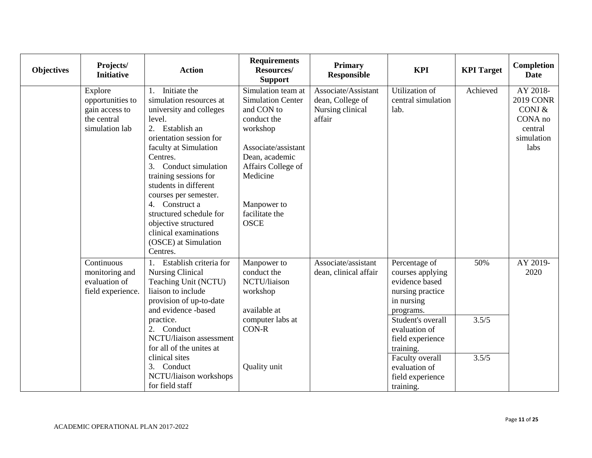| <b>Objectives</b> | Projects/<br><b>Initiative</b>                                                 | <b>Action</b>                                                                                                                                                                                                                                                                                                                                                                                               | <b>Requirements</b><br>Resources/<br><b>Support</b>                                                                                                                                                                | <b>Primary</b><br><b>Responsible</b>                                  | <b>KPI</b>                                                                                                                                                                                                                                     | <b>KPI</b> Target     | Completion<br><b>Date</b>                                                            |
|-------------------|--------------------------------------------------------------------------------|-------------------------------------------------------------------------------------------------------------------------------------------------------------------------------------------------------------------------------------------------------------------------------------------------------------------------------------------------------------------------------------------------------------|--------------------------------------------------------------------------------------------------------------------------------------------------------------------------------------------------------------------|-----------------------------------------------------------------------|------------------------------------------------------------------------------------------------------------------------------------------------------------------------------------------------------------------------------------------------|-----------------------|--------------------------------------------------------------------------------------|
|                   | Explore<br>opportunities to<br>gain access to<br>the central<br>simulation lab | Initiate the<br>1.<br>simulation resources at<br>university and colleges<br>level.<br>2. Establish an<br>orientation session for<br>faculty at Simulation<br>Centres.<br>3. Conduct simulation<br>training sessions for<br>students in different<br>courses per semester.<br>4. Construct a<br>structured schedule for<br>objective structured<br>clinical examinations<br>(OSCE) at Simulation<br>Centres. | Simulation team at<br><b>Simulation Center</b><br>and CON to<br>conduct the<br>workshop<br>Associate/assistant<br>Dean, academic<br>Affairs College of<br>Medicine<br>Manpower to<br>facilitate the<br><b>OSCE</b> | Associate/Assistant<br>dean, College of<br>Nursing clinical<br>affair | Utilization of<br>central simulation<br>lab.                                                                                                                                                                                                   | Achieved              | AY 2018-<br><b>2019 CONR</b><br>CONJ $&$<br>CONA no<br>central<br>simulation<br>labs |
|                   | Continuous<br>monitoring and<br>evaluation of<br>field experience.             | Establish criteria for<br><b>Nursing Clinical</b><br>Teaching Unit (NCTU)<br>liaison to include<br>provision of up-to-date<br>and evidence -based<br>practice.<br>2. Conduct<br>NCTU/liaison assessment<br>for all of the unites at<br>clinical sites<br>3. Conduct<br>NCTU/liaison workshops<br>for field staff                                                                                            | Manpower to<br>conduct the<br>NCTU/liaison<br>workshop<br>available at<br>computer labs at<br><b>CON-R</b><br>Quality unit                                                                                         | Associate/assistant<br>dean, clinical affair                          | Percentage of<br>courses applying<br>evidence based<br>nursing practice<br>in nursing<br>programs.<br>Student's overall<br>evaluation of<br>field experience<br>training.<br>Faculty overall<br>evaluation of<br>field experience<br>training. | 50%<br>3.5/5<br>3.5/5 | AY 2019-<br>2020                                                                     |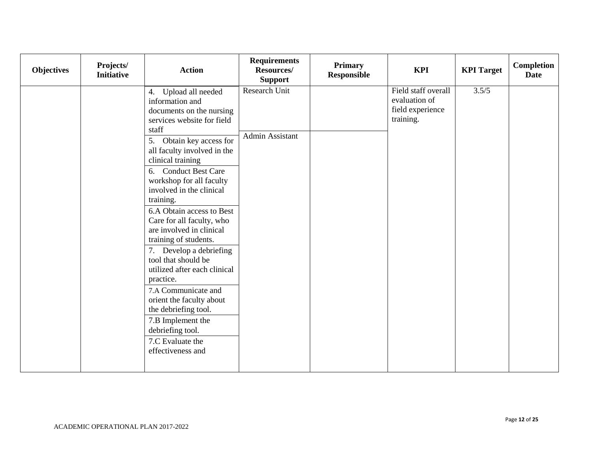| Objectives | Projects/<br><b>Initiative</b> | <b>Action</b>                                                                                                                                                                                                                                                                                                                                                                                                                                                                                                                                                                                                                                                            | <b>Requirements</b><br><b>Resources/</b><br><b>Support</b> | <b>Primary</b><br>Responsible | <b>KPI</b>                                                            | <b>KPI</b> Target | Completion<br><b>Date</b> |
|------------|--------------------------------|--------------------------------------------------------------------------------------------------------------------------------------------------------------------------------------------------------------------------------------------------------------------------------------------------------------------------------------------------------------------------------------------------------------------------------------------------------------------------------------------------------------------------------------------------------------------------------------------------------------------------------------------------------------------------|------------------------------------------------------------|-------------------------------|-----------------------------------------------------------------------|-------------------|---------------------------|
|            |                                | Upload all needed<br>4.<br>information and<br>documents on the nursing<br>services website for field<br>staff<br>5. Obtain key access for<br>all faculty involved in the<br>clinical training<br>6. Conduct Best Care<br>workshop for all faculty<br>involved in the clinical<br>training.<br>6.A Obtain access to Best<br>Care for all faculty, who<br>are involved in clinical<br>training of students.<br>Develop a debriefing<br>7.<br>tool that should be<br>utilized after each clinical<br>practice.<br>7.A Communicate and<br>orient the faculty about<br>the debriefing tool.<br>7.B Implement the<br>debriefing tool.<br>7.C Evaluate the<br>effectiveness and | Research Unit<br><b>Admin Assistant</b>                    |                               | Field staff overall<br>evaluation of<br>field experience<br>training. | 3.5/5             |                           |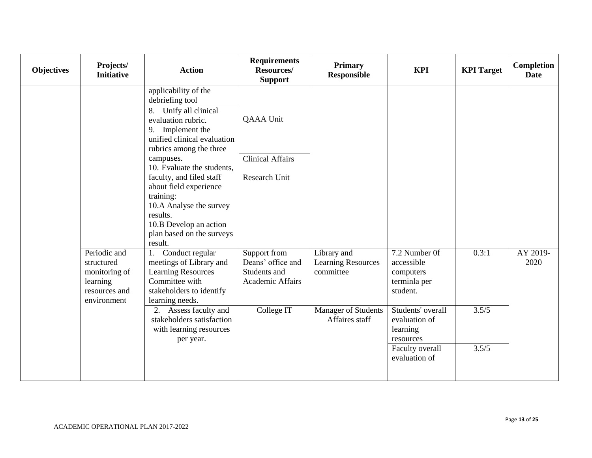| <b>Objectives</b> | Projects/<br><b>Initiative</b>                                                          | <b>Action</b>                                                                                                                                                                                                                                                                                                                                                                                  | <b>Requirements</b><br>Resources/<br><b>Support</b>                   | <b>Primary</b><br><b>Responsible</b>                  | <b>KPI</b>                                                           | <b>KPI</b> Target | Completion<br><b>Date</b> |
|-------------------|-----------------------------------------------------------------------------------------|------------------------------------------------------------------------------------------------------------------------------------------------------------------------------------------------------------------------------------------------------------------------------------------------------------------------------------------------------------------------------------------------|-----------------------------------------------------------------------|-------------------------------------------------------|----------------------------------------------------------------------|-------------------|---------------------------|
|                   |                                                                                         | applicability of the<br>debriefing tool<br>Unify all clinical<br>8.<br>evaluation rubric.<br>9. Implement the<br>unified clinical evaluation<br>rubrics among the three<br>campuses.<br>10. Evaluate the students.<br>faculty, and filed staff<br>about field experience<br>training:<br>10.A Analyse the survey<br>results.<br>10.B Develop an action<br>plan based on the surveys<br>result. | QAAA Unit<br><b>Clinical Affairs</b><br>Research Unit                 |                                                       |                                                                      |                   |                           |
|                   | Periodic and<br>structured<br>monitoring of<br>learning<br>resources and<br>environment | Conduct regular<br>1.<br>meetings of Library and<br><b>Learning Resources</b><br>Committee with<br>stakeholders to identify<br>learning needs.                                                                                                                                                                                                                                                 | Support from<br>Deans' office and<br>Students and<br>Academic Affairs | Library and<br><b>Learning Resources</b><br>committee | 7.2 Number 0f<br>accessible<br>computers<br>terminla per<br>student. | 0.3:1             | AY 2019-<br>2020          |
|                   |                                                                                         | 2. Assess faculty and<br>stakeholders satisfaction<br>with learning resources<br>per year.                                                                                                                                                                                                                                                                                                     | College IT                                                            | <b>Manager of Students</b><br>Affaires staff          | Students' overall<br>evaluation of<br>learning<br>resources          | 3.5/5             |                           |
|                   |                                                                                         |                                                                                                                                                                                                                                                                                                                                                                                                |                                                                       |                                                       | Faculty overall<br>evaluation of                                     | 3.5/5             |                           |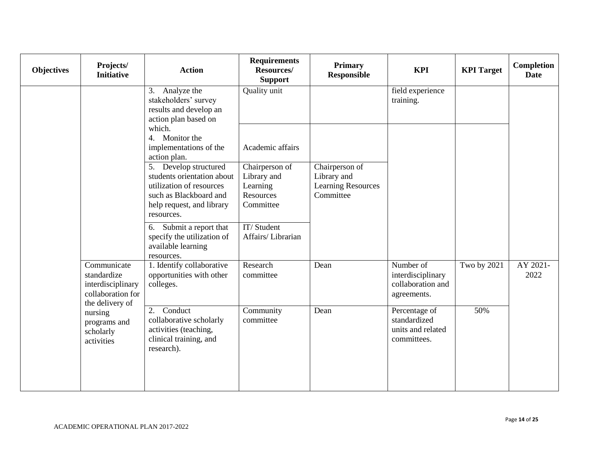| <b>Objectives</b> | Projects/<br><b>Initiative</b>                                                          | <b>Action</b>                                                                                                                                        | <b>Requirements</b><br>Resources/<br><b>Support</b>                 | <b>Primary</b><br><b>Responsible</b>                                    | <b>KPI</b>                                                         | <b>KPI</b> Target | Completion<br><b>Date</b> |
|-------------------|-----------------------------------------------------------------------------------------|------------------------------------------------------------------------------------------------------------------------------------------------------|---------------------------------------------------------------------|-------------------------------------------------------------------------|--------------------------------------------------------------------|-------------------|---------------------------|
|                   |                                                                                         | Analyze the<br>3.<br>stakeholders' survey<br>results and develop an<br>action plan based on                                                          | Quality unit                                                        |                                                                         | field experience<br>training.                                      |                   |                           |
|                   |                                                                                         | which.<br>4. Monitor the<br>implementations of the<br>action plan.                                                                                   | Academic affairs                                                    |                                                                         |                                                                    |                   |                           |
|                   |                                                                                         | 5. Develop structured<br>students orientation about<br>utilization of resources<br>such as Blackboard and<br>help request, and library<br>resources. | Chairperson of<br>Library and<br>Learning<br>Resources<br>Committee | Chairperson of<br>Library and<br><b>Learning Resources</b><br>Committee |                                                                    |                   |                           |
|                   |                                                                                         | Submit a report that<br>6.<br>specify the utilization of<br>available learning<br>resources.                                                         | IT/Student<br>Affairs/Librarian                                     |                                                                         |                                                                    |                   |                           |
|                   | Communicate<br>standardize<br>interdisciplinary<br>collaboration for<br>the delivery of | 1. Identify collaborative<br>opportunities with other<br>colleges.                                                                                   | Research<br>committee                                               | Dean                                                                    | Number of<br>interdisciplinary<br>collaboration and<br>agreements. | Two by 2021       | AY 2021-<br>2022          |
|                   | nursing<br>programs and<br>scholarly<br>activities                                      | Conduct<br>2.<br>collaborative scholarly<br>activities (teaching,<br>clinical training, and<br>research).                                            | Community<br>committee                                              | Dean                                                                    | Percentage of<br>standardized<br>units and related<br>committees.  | 50%               |                           |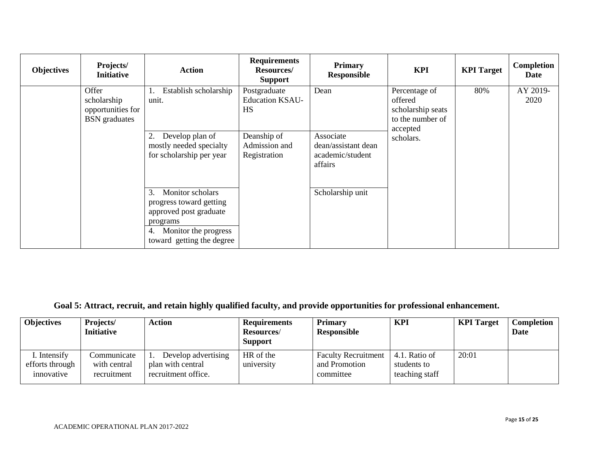| <b>Objectives</b> | Projects/<br><b>Initiative</b>                                    | <b>Action</b>                                                                                                                                      | <b>Requirements</b><br><b>Resources/</b><br><b>Support</b> | <b>Primary</b><br>Responsible                                   | <b>KPI</b>                                                                                 | <b>KPI</b> Target | Completion<br>Date |
|-------------------|-------------------------------------------------------------------|----------------------------------------------------------------------------------------------------------------------------------------------------|------------------------------------------------------------|-----------------------------------------------------------------|--------------------------------------------------------------------------------------------|-------------------|--------------------|
|                   | Offer<br>scholarship<br>opportunities for<br><b>BSN</b> graduates | Establish scholarship<br>unit.                                                                                                                     | Postgraduate<br><b>Education KSAU-</b><br>HS               | Dean                                                            | Percentage of<br>offered<br>scholarship seats<br>to the number of<br>accepted<br>scholars. | 80%               | AY 2019-<br>2020   |
|                   |                                                                   | Develop plan of<br>2.<br>mostly needed specialty<br>for scholarship per year                                                                       | Deanship of<br>Admission and<br>Registration               | Associate<br>dean/assistant dean<br>academic/student<br>affairs |                                                                                            |                   |                    |
|                   |                                                                   | Monitor scholars<br>3.<br>progress toward getting<br>approved post graduate<br>programs<br>Monitor the progress<br>4.<br>toward getting the degree |                                                            | Scholarship unit                                                |                                                                                            |                   |                    |

**Goal 5: Attract, recruit, and retain highly qualified faculty, and provide opportunities for professional enhancement.**

| <b>Objectives</b>                             | Projects/<br><b>Initiative</b>             | Action                                                          | <b>Requirements</b><br><b>Resources</b> /<br><b>Support</b> | Primary<br>Responsible                                   | <b>KPI</b>                                     | <b>KPI</b> Target | Completion<br>Date |
|-----------------------------------------------|--------------------------------------------|-----------------------------------------------------------------|-------------------------------------------------------------|----------------------------------------------------------|------------------------------------------------|-------------------|--------------------|
| I. Intensify<br>efforts through<br>innovative | Communicate<br>with central<br>recruitment | Develop advertising<br>plan with central<br>recruitment office. | HR of the<br>university                                     | <b>Faculty Recruitment</b><br>and Promotion<br>committee | 4.1. Ratio of<br>students to<br>teaching staff | 20:01             |                    |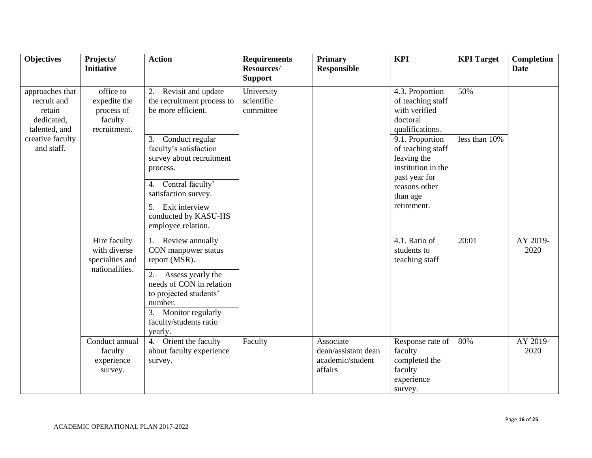| <b>Objectives</b>                                                                           | Projects/<br><b>Initiative</b>                                     | <b>Action</b>                                                                                                                                            | <b>Requirements</b><br>Resources/<br><b>Support</b> | Primary<br><b>Responsible</b>                                   | <b>KPI</b>                                                                                              | <b>KPI</b> Target    | <b>Completion</b><br><b>Date</b> |
|---------------------------------------------------------------------------------------------|--------------------------------------------------------------------|----------------------------------------------------------------------------------------------------------------------------------------------------------|-----------------------------------------------------|-----------------------------------------------------------------|---------------------------------------------------------------------------------------------------------|----------------------|----------------------------------|
| approaches that<br>recruit and<br>retain<br>dedicated,<br>talented, and<br>creative faculty | office to<br>expedite the<br>process of<br>faculty<br>recruitment. | 2. Revisit and update<br>the recruitment process to<br>be more efficient.<br>3.<br>Conduct regular                                                       | University<br>scientific<br>committee               |                                                                 | 4.3. Proportion<br>of teaching staff<br>with verified<br>doctoral<br>qualifications.<br>9.1. Proportion | 50%<br>less than 10% |                                  |
| and staff.                                                                                  |                                                                    | faculty's satisfaction<br>survey about recruitment<br>process.<br>Central faculty'<br>4.<br>satisfaction survey.                                         |                                                     |                                                                 | of teaching staff<br>leaving the<br>institution in the<br>past year for<br>reasons other<br>than age    |                      |                                  |
|                                                                                             |                                                                    | 5. Exit interview<br>conducted by KASU-HS<br>employee relation.                                                                                          |                                                     |                                                                 | retirement.                                                                                             |                      |                                  |
|                                                                                             | Hire faculty<br>with diverse<br>specialties and<br>nationalities.  | 1. Review annually<br>CON manpower status<br>report (MSR).                                                                                               |                                                     |                                                                 | 4.1. Ratio of<br>students to<br>teaching staff                                                          | 20:01                | AY 2019-<br>2020                 |
|                                                                                             |                                                                    | 2.<br>Assess yearly the<br>needs of CON in relation<br>to projected students'<br>number.<br>Monitor regularly<br>3.<br>faculty/students ratio<br>yearly. |                                                     |                                                                 |                                                                                                         |                      |                                  |
|                                                                                             | Conduct annual<br>faculty<br>experience<br>survey.                 | 4. Orient the faculty<br>about faculty experience<br>survey.                                                                                             | Faculty                                             | Associate<br>dean/assistant dean<br>academic/student<br>affairs | Response rate of<br>faculty<br>completed the<br>faculty<br>experience<br>survey.                        | 80%                  | AY 2019-<br>2020                 |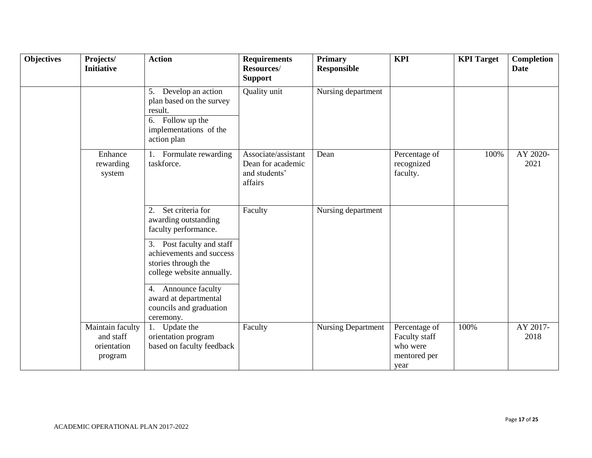| <b>Objectives</b> | Projects/<br><b>Initiative</b>                          | <b>Action</b>                                                                                                                                                                                                                                                  | <b>Requirements</b><br>Resources/<br><b>Support</b>                  | <b>Primary</b><br><b>Responsible</b> | <b>KPI</b>                                                         | <b>KPI</b> Target | <b>Completion</b><br><b>Date</b> |
|-------------------|---------------------------------------------------------|----------------------------------------------------------------------------------------------------------------------------------------------------------------------------------------------------------------------------------------------------------------|----------------------------------------------------------------------|--------------------------------------|--------------------------------------------------------------------|-------------------|----------------------------------|
|                   |                                                         | 5. Develop an action<br>plan based on the survey<br>result.<br>$\overline{6}$ . Follow up the<br>implementations of the<br>action plan                                                                                                                         | Quality unit                                                         | Nursing department                   |                                                                    |                   |                                  |
|                   | Enhance<br>rewarding<br>system                          | 1. Formulate rewarding<br>taskforce.                                                                                                                                                                                                                           | Associate/assistant<br>Dean for academic<br>and students'<br>affairs | Dean                                 | Percentage of<br>recognized<br>faculty.                            | 100%              | AY 2020-<br>2021                 |
|                   |                                                         | Set criteria for<br>2.<br>awarding outstanding<br>faculty performance.<br>3. Post faculty and staff<br>achievements and success<br>stories through the<br>college website annually.<br>4. Announce faculty<br>award at departmental<br>councils and graduation | Faculty                                                              | Nursing department                   |                                                                    |                   |                                  |
|                   | Maintain faculty<br>and staff<br>orientation<br>program | ceremony.<br>Update the<br>1.<br>orientation program<br>based on faculty feedback                                                                                                                                                                              | Faculty                                                              | <b>Nursing Department</b>            | Percentage of<br>Faculty staff<br>who were<br>mentored per<br>year | 100%              | AY 2017-<br>2018                 |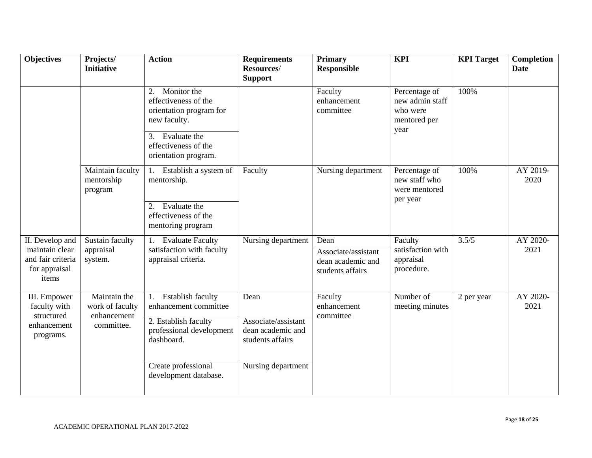| <b>Objectives</b>                                                                | Projects/<br><b>Initiative</b>                               | <b>Action</b>                                                                                                                                                      | <b>Requirements</b><br>Resources/<br><b>Support</b>                                        | <b>Primary</b><br><b>Responsible</b>                                 | <b>KPI</b>                                                           | <b>KPI</b> Target | Completion<br><b>Date</b> |
|----------------------------------------------------------------------------------|--------------------------------------------------------------|--------------------------------------------------------------------------------------------------------------------------------------------------------------------|--------------------------------------------------------------------------------------------|----------------------------------------------------------------------|----------------------------------------------------------------------|-------------------|---------------------------|
|                                                                                  |                                                              | Monitor the<br>2.<br>effectiveness of the<br>orientation program for<br>new faculty.<br>Evaluate the<br>3.<br>effectiveness of the<br>orientation program.         |                                                                                            | Faculty<br>enhancement<br>committee                                  | Percentage of<br>new admin staff<br>who were<br>mentored per<br>year | 100%              |                           |
|                                                                                  | Maintain faculty<br>mentorship<br>program                    | Establish a system of<br>1.<br>mentorship.<br>2. Evaluate the<br>effectiveness of the<br>mentoring program                                                         | Faculty                                                                                    | Nursing department                                                   | Percentage of<br>new staff who<br>were mentored<br>per year          | 100%              | AY 2019-<br>2020          |
| II. Develop and<br>maintain clear<br>and fair criteria<br>for appraisal<br>items | Sustain faculty<br>appraisal<br>system.                      | 1. Evaluate Faculty<br>satisfaction with faculty<br>appraisal criteria.                                                                                            | Nursing department                                                                         | Dean<br>Associate/assistant<br>dean academic and<br>students affairs | Faculty<br>satisfaction with<br>appraisal<br>procedure.              | 3.5/5             | AY 2020-<br>2021          |
| III. Empower<br>faculty with<br>structured<br>enhancement<br>programs.           | Maintain the<br>work of faculty<br>enhancement<br>committee. | Establish faculty<br>1.<br>enhancement committee<br>2. Establish faculty<br>professional development<br>dashboard.<br>Create professional<br>development database. | Dean<br>Associate/assistant<br>dean academic and<br>students affairs<br>Nursing department | Faculty<br>enhancement<br>committee                                  | Number of<br>meeting minutes                                         | 2 per year        | AY 2020-<br>2021          |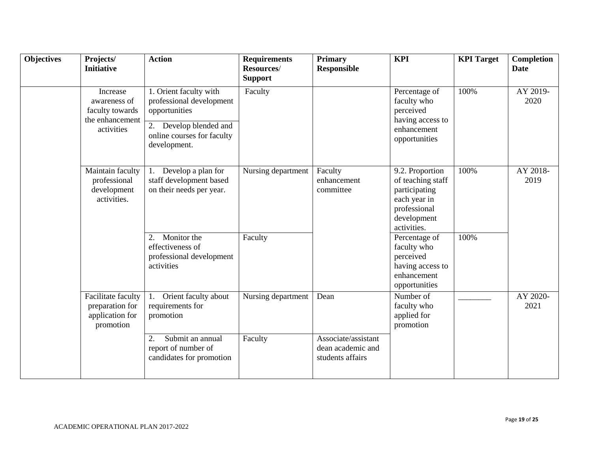| <b>Objectives</b> | Projects/<br><b>Initiative</b>                                               | <b>Action</b>                                                                                                                               | <b>Requirements</b><br>Resources/<br><b>Support</b> | <b>Primary</b><br><b>Responsible</b>                         | <b>KPI</b>                                                                                                          | <b>KPI</b> Target | <b>Completion</b><br><b>Date</b> |
|-------------------|------------------------------------------------------------------------------|---------------------------------------------------------------------------------------------------------------------------------------------|-----------------------------------------------------|--------------------------------------------------------------|---------------------------------------------------------------------------------------------------------------------|-------------------|----------------------------------|
|                   | Increase<br>awareness of<br>faculty towards<br>the enhancement<br>activities | 1. Orient faculty with<br>professional development<br>opportunities<br>2. Develop blended and<br>online courses for faculty<br>development. | Faculty                                             |                                                              | Percentage of<br>faculty who<br>perceived<br>having access to<br>enhancement<br>opportunities                       | 100%              | AY 2019-<br>2020                 |
|                   | Maintain faculty<br>professional<br>development<br>activities.               | Develop a plan for<br>1.<br>staff development based<br>on their needs per year.                                                             | Nursing department                                  | Faculty<br>enhancement<br>committee                          | 9.2. Proportion<br>of teaching staff<br>participating<br>each year in<br>professional<br>development<br>activities. | 100%              | AY 2018-<br>2019                 |
|                   |                                                                              | Monitor the<br>2.<br>effectiveness of<br>professional development<br>activities                                                             | Faculty                                             |                                                              | Percentage of<br>faculty who<br>perceived<br>having access to<br>enhancement<br>opportunities                       | 100%              |                                  |
|                   | Facilitate faculty<br>preparation for<br>application for<br>promotion        | Orient faculty about<br>requirements for<br>promotion                                                                                       | Nursing department                                  | Dean                                                         | Number of<br>faculty who<br>applied for<br>promotion                                                                |                   | AY 2020-<br>2021                 |
|                   |                                                                              | Submit an annual<br>2.<br>report of number of<br>candidates for promotion                                                                   | Faculty                                             | Associate/assistant<br>dean academic and<br>students affairs |                                                                                                                     |                   |                                  |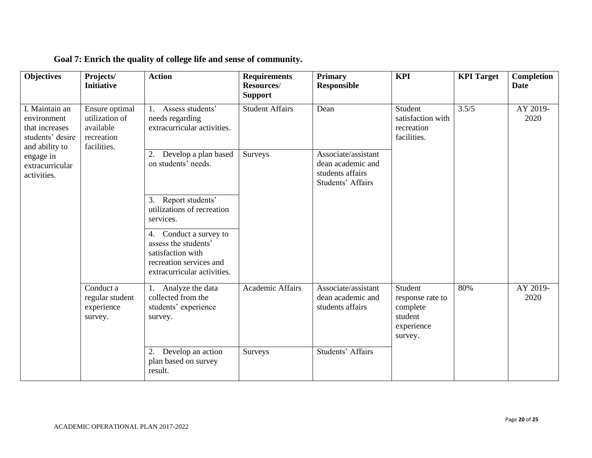| <b>Objectives</b>                                                   | Projects/<br><b>Initiative</b>                                             | <b>Action</b>                                                                                                                    | <b>Requirements</b><br>Resources/<br><b>Support</b> | <b>Primary</b><br><b>Responsible</b>                                              | <b>KPI</b>                                                                  | <b>KPI</b> Target | Completion<br><b>Date</b> |
|---------------------------------------------------------------------|----------------------------------------------------------------------------|----------------------------------------------------------------------------------------------------------------------------------|-----------------------------------------------------|-----------------------------------------------------------------------------------|-----------------------------------------------------------------------------|-------------------|---------------------------|
| I. Maintain an<br>environment<br>that increases<br>students' desire | Ensure optimal<br>utilization of<br>available<br>recreation<br>facilities. | Assess students'<br>1.<br>needs regarding<br>extracurricular activities.                                                         | <b>Student Affairs</b>                              | Dean                                                                              | Student<br>satisfaction with<br>recreation<br>facilities.                   | 3.5/5             | AY 2019-<br>2020          |
| and ability to<br>engage in<br>extracurricular<br>activities.       |                                                                            | Develop a plan based<br>2.<br>on students' needs.                                                                                | Surveys                                             | Associate/assistant<br>dean academic and<br>students affairs<br>Students' Affairs |                                                                             |                   |                           |
|                                                                     |                                                                            | Report students'<br>3.<br>utilizations of recreation<br>services.                                                                |                                                     |                                                                                   |                                                                             |                   |                           |
|                                                                     |                                                                            | Conduct a survey to<br>4.<br>assess the students'<br>satisfaction with<br>recreation services and<br>extracurricular activities. |                                                     |                                                                                   |                                                                             |                   |                           |
|                                                                     | $\overline{\text{Conduct}}$ a<br>regular student<br>experience<br>survey.  | Analyze the data<br>collected from the<br>students' experience<br>survey.                                                        | Academic Affairs                                    | Associate/assistant<br>dean academic and<br>students affairs                      | Student<br>response rate to<br>complete<br>student<br>experience<br>survey. | 80%               | AY 2019-<br>2020          |
|                                                                     |                                                                            | 2. Develop an action<br>plan based on survey<br>result.                                                                          | Surveys                                             | Students' Affairs                                                                 |                                                                             |                   |                           |

**Goal 7: Enrich the quality of college life and sense of community.**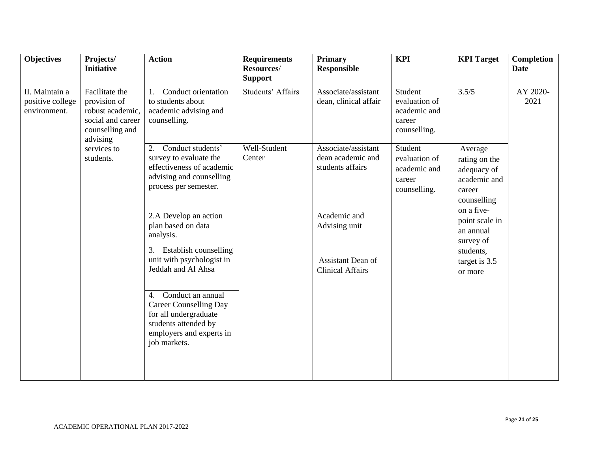| <b>Objectives</b>                                  | Projects/<br><b>Initiative</b>                                                                         | <b>Action</b>                                                                                                                                      | <b>Requirements</b><br>Resources/   | <b>Primary</b><br><b>Responsible</b>                                          | <b>KPI</b>                                                         | <b>KPI</b> Target                                                                               | Completion<br><b>Date</b> |
|----------------------------------------------------|--------------------------------------------------------------------------------------------------------|----------------------------------------------------------------------------------------------------------------------------------------------------|-------------------------------------|-------------------------------------------------------------------------------|--------------------------------------------------------------------|-------------------------------------------------------------------------------------------------|---------------------------|
| II. Maintain a<br>positive college<br>environment. | Facilitate the<br>provision of<br>robust academic,<br>social and career<br>counselling and<br>advising | Conduct orientation<br>to students about<br>academic advising and<br>counselling.                                                                  | <b>Support</b><br>Students' Affairs | Associate/assistant<br>dean, clinical affair                                  | Student<br>evaluation of<br>academic and<br>career<br>counselling. | 3.5/5                                                                                           | AY 2020-<br>2021          |
|                                                    | services to<br>students.                                                                               | 2. Conduct students'<br>survey to evaluate the<br>effectiveness of academic<br>advising and counselling<br>process per semester.                   | Well-Student<br>Center              | Associate/assistant<br>dean academic and<br>students affairs                  | Student<br>evaluation of<br>academic and<br>career<br>counselling. | Average<br>rating on the<br>adequacy of<br>academic and<br>career<br>counselling                |                           |
|                                                    |                                                                                                        | 2.A Develop an action<br>plan based on data<br>analysis.<br>3. Establish counselling<br>unit with psychologist in<br>Jeddah and Al Ahsa            |                                     | Academic and<br>Advising unit<br>Assistant Dean of<br><b>Clinical Affairs</b> |                                                                    | on a five-<br>point scale in<br>an annual<br>survey of<br>students,<br>target is 3.5<br>or more |                           |
|                                                    |                                                                                                        | 4. Conduct an annual<br><b>Career Counselling Day</b><br>for all undergraduate<br>students attended by<br>employers and experts in<br>job markets. |                                     |                                                                               |                                                                    |                                                                                                 |                           |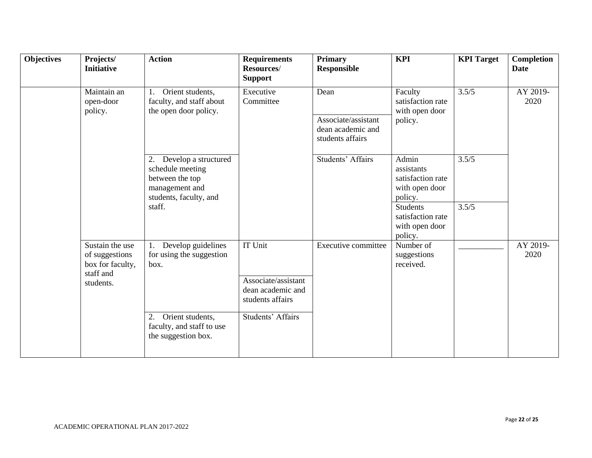| <b>Objectives</b> | Projects/<br><b>Initiative</b>                                                  | <b>Action</b>                                                                                                 | <b>Requirements</b><br>Resources/<br><b>Support</b>                            | <b>Primary</b><br><b>Responsible</b>                         | <b>KPI</b>                                                            | <b>KPI</b> Target | Completion<br><b>Date</b> |
|-------------------|---------------------------------------------------------------------------------|---------------------------------------------------------------------------------------------------------------|--------------------------------------------------------------------------------|--------------------------------------------------------------|-----------------------------------------------------------------------|-------------------|---------------------------|
|                   | Maintain an<br>1.<br>open-door<br>policy.                                       | Orient students,<br>faculty, and staff about<br>the open door policy.                                         | Executive<br>Committee                                                         | Dean                                                         | Faculty<br>satisfaction rate<br>with open door                        | 3.5/5             | AY 2019-<br>2020          |
|                   |                                                                                 |                                                                                                               |                                                                                | Associate/assistant<br>dean academic and<br>students affairs | policy.                                                               |                   |                           |
|                   |                                                                                 | Develop a structured<br>2.<br>schedule meeting<br>between the top<br>management and<br>students, faculty, and |                                                                                | Students' Affairs                                            | Admin<br>assistants<br>satisfaction rate<br>with open door<br>policy. | 3.5/5             |                           |
|                   |                                                                                 | staff.                                                                                                        |                                                                                |                                                              | <b>Students</b><br>satisfaction rate<br>with open door<br>policy.     | 3.5/5             |                           |
|                   | Sustain the use<br>of suggestions<br>box for faculty,<br>staff and<br>students. | Develop guidelines<br>for using the suggestion<br>box.                                                        | <b>IT Unit</b><br>Associate/assistant<br>dean academic and<br>students affairs | <b>Executive committee</b>                                   | Number of<br>suggestions<br>received.                                 |                   | AY 2019-<br>2020          |
|                   |                                                                                 | Orient students,<br>2.<br>faculty, and staff to use<br>the suggestion box.                                    | Students' Affairs                                                              |                                                              |                                                                       |                   |                           |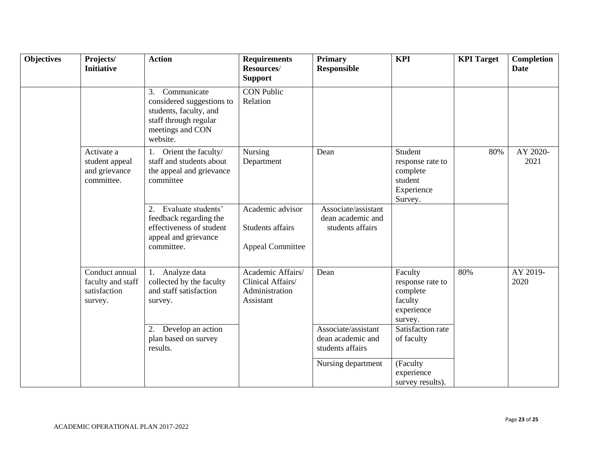| <b>Objectives</b> | Projects/<br><b>Initiative</b>                                 | <b>Action</b>                                                                                                                     | <b>Requirements</b><br>Resources/<br><b>Support</b>                   | <b>Primary</b><br><b>Responsible</b>                         | <b>KPI</b>                                                                  | <b>KPI</b> Target | <b>Completion</b><br><b>Date</b> |
|-------------------|----------------------------------------------------------------|-----------------------------------------------------------------------------------------------------------------------------------|-----------------------------------------------------------------------|--------------------------------------------------------------|-----------------------------------------------------------------------------|-------------------|----------------------------------|
|                   |                                                                | 3.<br>Communicate<br>considered suggestions to<br>students, faculty, and<br>staff through regular<br>meetings and CON<br>website. | <b>CON Public</b><br>Relation                                         |                                                              |                                                                             |                   |                                  |
|                   | Activate a<br>student appeal<br>and grievance<br>committee.    | 1. Orient the faculty/<br>staff and students about<br>the appeal and grievance<br>committee                                       | Nursing<br>Department                                                 | Dean                                                         | Student<br>response rate to<br>complete<br>student<br>Experience<br>Survey. | 80%               | AY 2020-<br>2021                 |
|                   |                                                                | Evaluate students'<br>2.<br>feedback regarding the<br>effectiveness of student<br>appeal and grievance<br>committee.              | Academic advisor<br>Students affairs<br><b>Appeal Committee</b>       | Associate/assistant<br>dean academic and<br>students affairs |                                                                             |                   |                                  |
|                   | Conduct annual<br>faculty and staff<br>satisfaction<br>survey. | 1. Analyze data<br>collected by the faculty<br>and staff satisfaction<br>survey.                                                  | Academic Affairs/<br>Clinical Affairs/<br>Administration<br>Assistant | Dean                                                         | Faculty<br>response rate to<br>complete<br>faculty<br>experience<br>survey. | 80%               | AY 2019-<br>2020                 |
|                   |                                                                | 2. Develop an action<br>plan based on survey<br>results.                                                                          |                                                                       | Associate/assistant<br>dean academic and<br>students affairs | Satisfaction rate<br>of faculty                                             |                   |                                  |
|                   |                                                                |                                                                                                                                   |                                                                       | Nursing department                                           | (Faculty<br>experience<br>survey results).                                  |                   |                                  |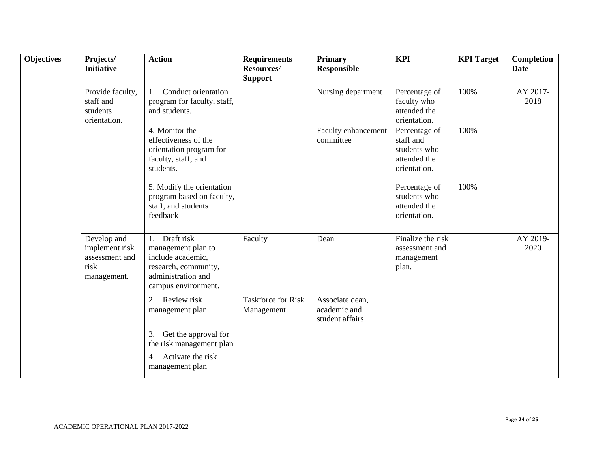| <b>Objectives</b> | Projects/<br><b>Initiative</b>                                         | <b>Action</b>                                                                                                                    | <b>Requirements</b><br>Resources/<br><b>Support</b> | <b>Primary</b><br><b>Responsible</b>               | <b>KPI</b>                                                                 | <b>KPI</b> Target | <b>Completion</b><br><b>Date</b> |
|-------------------|------------------------------------------------------------------------|----------------------------------------------------------------------------------------------------------------------------------|-----------------------------------------------------|----------------------------------------------------|----------------------------------------------------------------------------|-------------------|----------------------------------|
|                   | Provide faculty,<br>staff and<br>students<br>orientation.              | Conduct orientation<br>1.<br>program for faculty, staff,<br>and students.                                                        |                                                     | Nursing department                                 | Percentage of<br>faculty who<br>attended the<br>orientation.               | 100%              | AY 2017-<br>2018                 |
|                   |                                                                        | 4. Monitor the<br>effectiveness of the<br>orientation program for<br>faculty, staff, and<br>students.                            |                                                     | Faculty enhancement<br>committee                   | Percentage of<br>staff and<br>students who<br>attended the<br>orientation. | 100%              |                                  |
|                   |                                                                        | 5. Modify the orientation<br>program based on faculty,<br>staff, and students<br>feedback                                        |                                                     |                                                    | Percentage of<br>students who<br>attended the<br>orientation.              | 100%              |                                  |
|                   | Develop and<br>implement risk<br>assessment and<br>risk<br>management. | Draft risk<br>1.<br>management plan to<br>include academic,<br>research, community,<br>administration and<br>campus environment. | Faculty                                             | Dean                                               | Finalize the risk<br>assessment and<br>management<br>plan.                 |                   | AY 2019-<br>2020                 |
|                   |                                                                        | 2. Review risk<br>management plan                                                                                                | <b>Taskforce for Risk</b><br>Management             | Associate dean,<br>academic and<br>student affairs |                                                                            |                   |                                  |
|                   |                                                                        | Get the approval for<br>3.<br>the risk management plan<br>4. Activate the risk<br>management plan                                |                                                     |                                                    |                                                                            |                   |                                  |